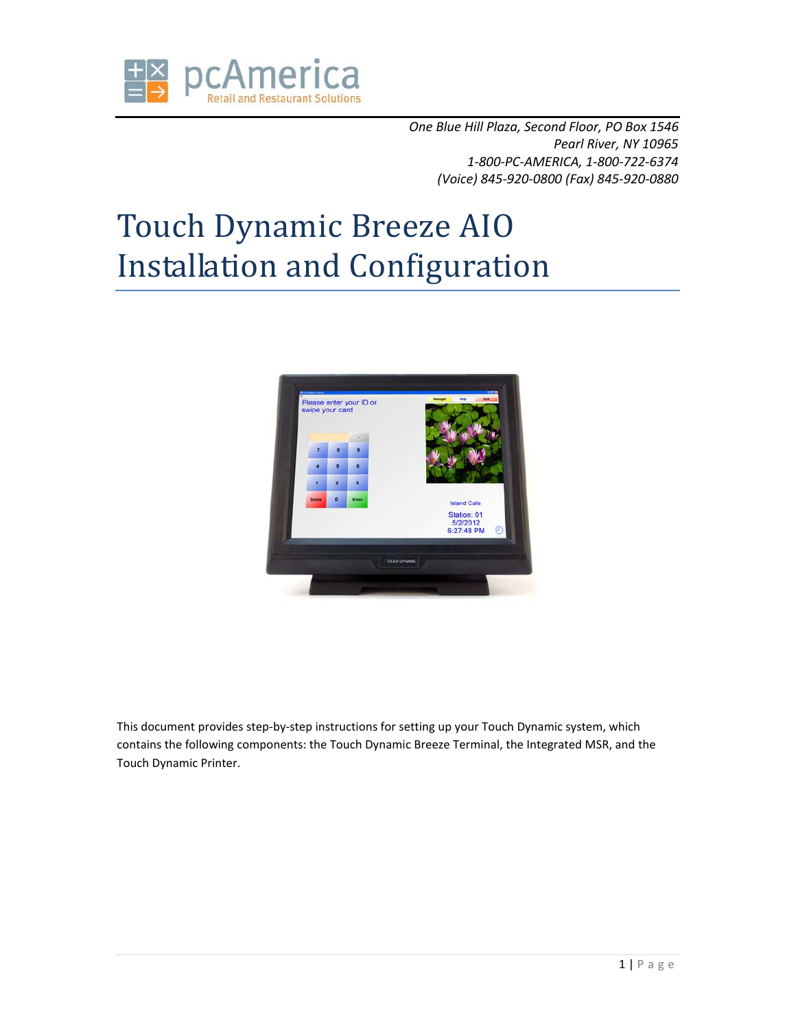

*One Blue Hill Plaza, Second Floor, PO Box 1546 Pearl River, NY 10965 1-800-PC-AMERICA, 1-800-722-6374 (Voice) 845-920-0800 (Fax) 845-920-0880* 

# Touch Dynamic Breeze AIO Installation and Configuration



This document provides step-by-step instructions for setting up your Touch Dynamic system, which contains the following components: the Touch Dynamic Breeze Terminal, the Integrated MSR, and the Touch Dynamic Printer.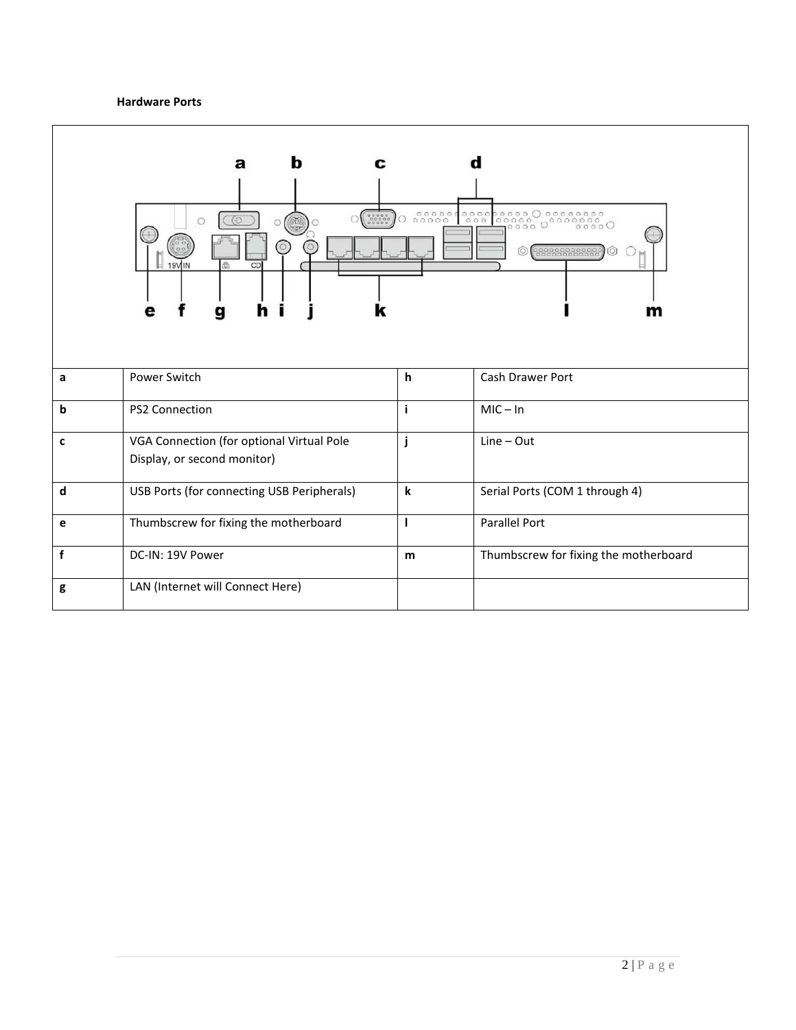#### **Hardware Ports**

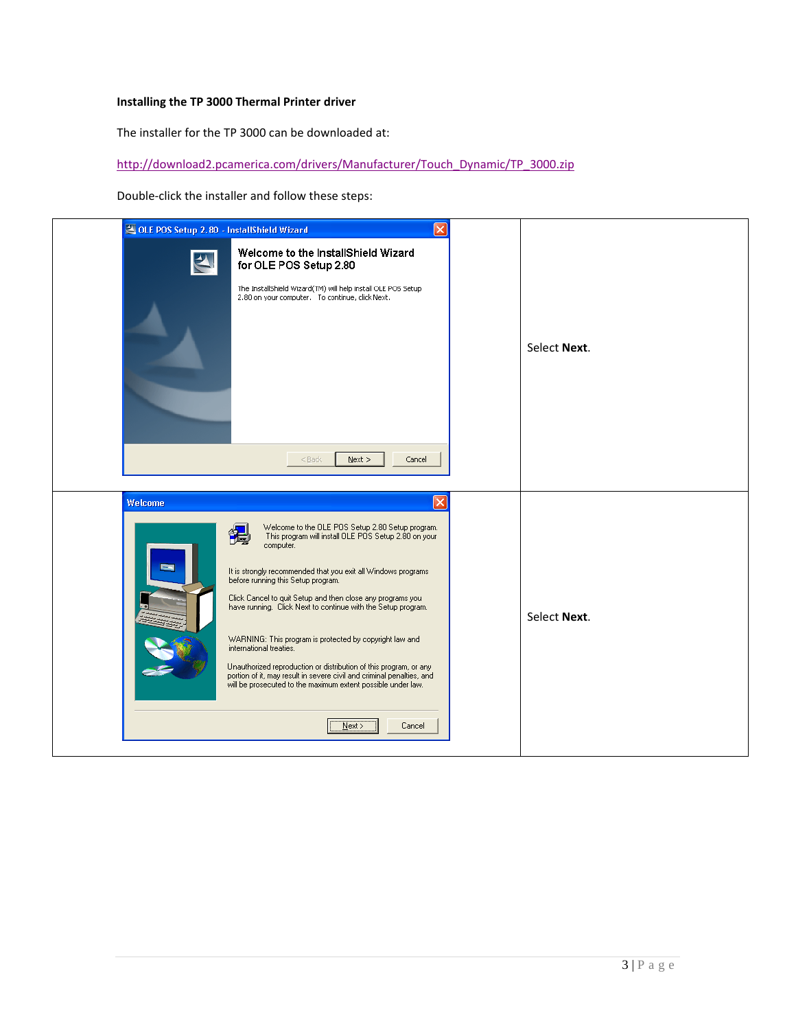#### **Installing the TP 3000 Thermal Printer driver**

The installer for the TP 3000 can be downloaded at:

http://download2.pcamerica.com/drivers/Manufacturer/Touch\_Dynamic/TP\_3000.zip

Double-click the installer and follow these steps:

| OLE POS Setup 2.80 - InstallShield Wizard<br>$\overline{\mathsf{x}}$                                                                                                                                                                                                                                                                                                                                                                                                                                                                                                                                                                                                                                    |              |
|---------------------------------------------------------------------------------------------------------------------------------------------------------------------------------------------------------------------------------------------------------------------------------------------------------------------------------------------------------------------------------------------------------------------------------------------------------------------------------------------------------------------------------------------------------------------------------------------------------------------------------------------------------------------------------------------------------|--------------|
| Welcome to the InstallShield Wizard<br>for OLE POS Setup 2.80<br>The InstallShield Wizard(TM) will help install OLE POS Setup<br>2.80 on your computer. To continue, click Next.                                                                                                                                                                                                                                                                                                                                                                                                                                                                                                                        | Select Next. |
| $N$ ext ><br>$<$ Back<br>Cancel                                                                                                                                                                                                                                                                                                                                                                                                                                                                                                                                                                                                                                                                         |              |
| $\times$<br>Welcome<br>Welcome to the OLE POS Setup 2.80 Setup program.<br>This program will install OLE POS Setup 2.80 on your<br>computer.<br>It is strongly recommended that you exit all Windows programs<br>before running this Setup program.<br>Click Cancel to quit Setup and then close any programs you<br>have running. Click Next to continue with the Setup program.<br>WARNING: This program is protected by copyright law and<br>international treaties.<br>Unauthorized reproduction or distribution of this program, or any<br>portion of it, may result in severe civil and criminal penalties, and<br>will be prosecuted to the maximum extent possible under law.<br>Cancel<br>Next | Select Next. |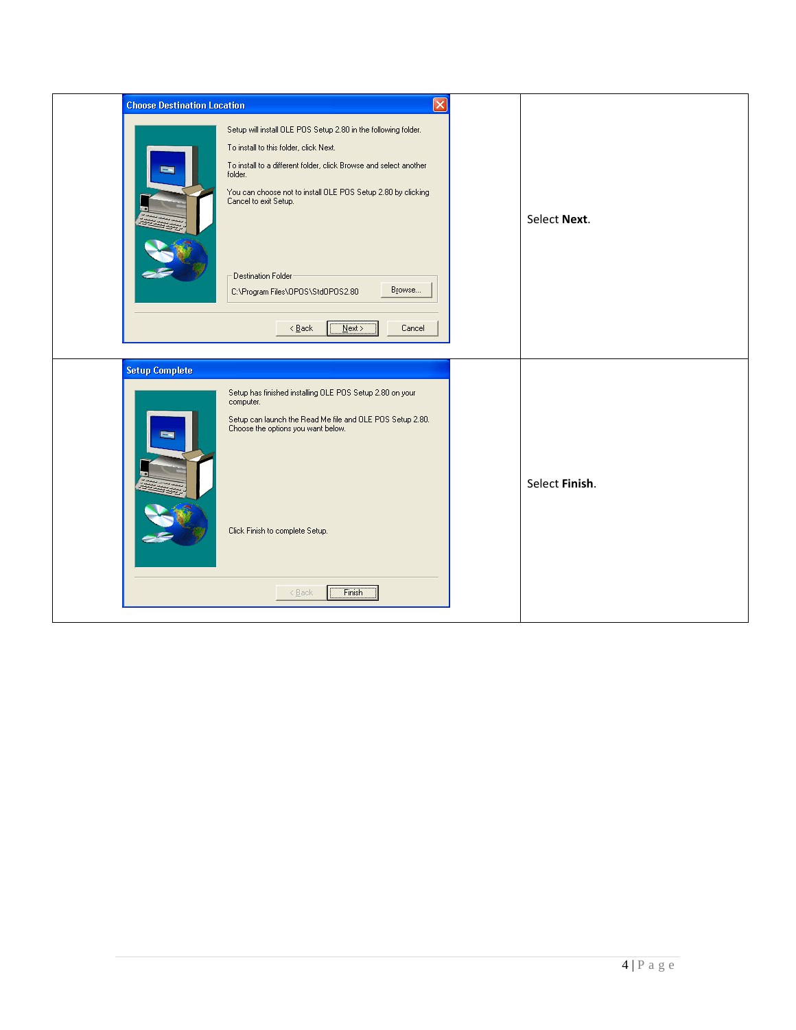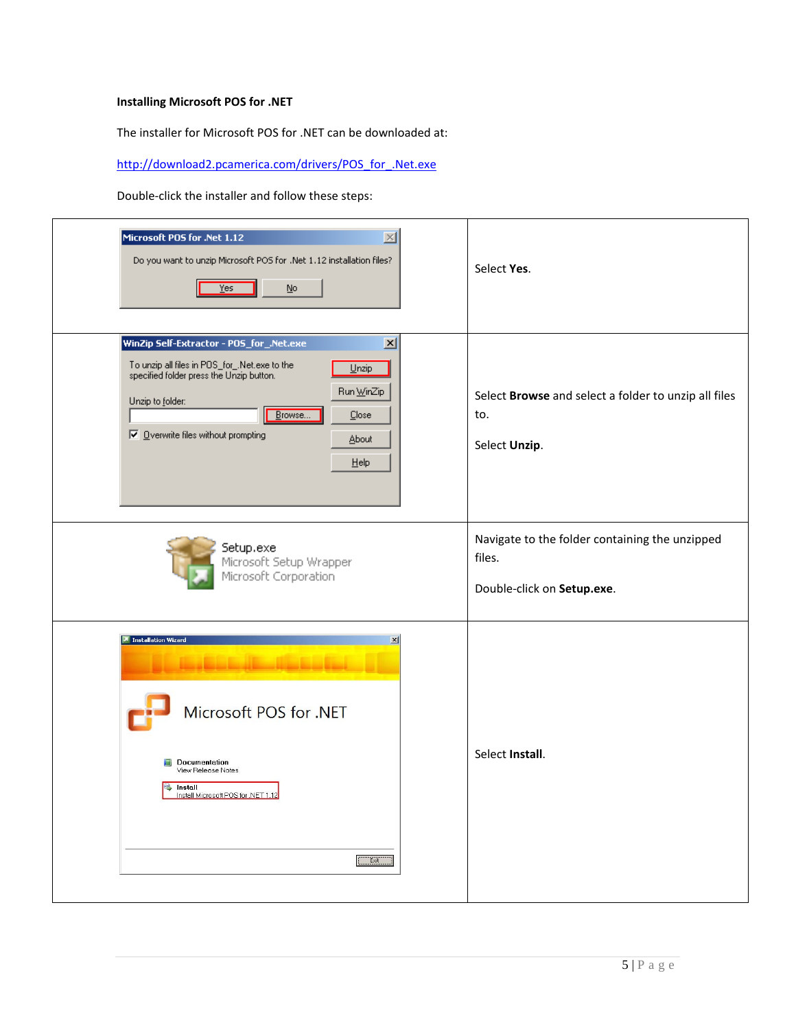# **Installing Microsoft POS for .NET**

The installer for Microsoft POS for .NET can be downloaded at:

http://download2.pcamerica.com/drivers/POS\_for\_.Net.exe

Double-click the installer and follow these steps:

| Microsoft POS for .Net 1.12<br>$\times$<br>Do you want to unzip Microsoft POS for .Net 1.12 installation files?<br>Yes<br>No                                                                                                                                                         | Select Yes.                                                                            |
|--------------------------------------------------------------------------------------------------------------------------------------------------------------------------------------------------------------------------------------------------------------------------------------|----------------------------------------------------------------------------------------|
| WinZip Self-Extractor - POS_for_.Net.exe<br>$\mathbf{x}$<br>To unzip all files in POS_for_.Net.exe to the<br>specified folder press the Unzip button.<br>$Unzip$<br>Run WinZip<br>Unzip to folder:<br>Browse<br>Close<br>$\nabla$ Overwrite files without prompting<br>About<br>Help | Select Browse and select a folder to unzip all files<br>to.<br>Select Unzip.           |
| Setup.exe<br>Microsoft Setup Wrapper<br>Microsoft Corporation                                                                                                                                                                                                                        | Navigate to the folder containing the unzipped<br>files.<br>Double-click on Setup.exe. |
| <b>A</b> Installation Wizard<br>$\vert x \vert$<br>Microsoft POS for .NET<br>Documentation<br>View Release Notes<br>Install<br>÷.<br>Install Microsoft POS for .NET 1.12<br>Exit                                                                                                     | Select Install.                                                                        |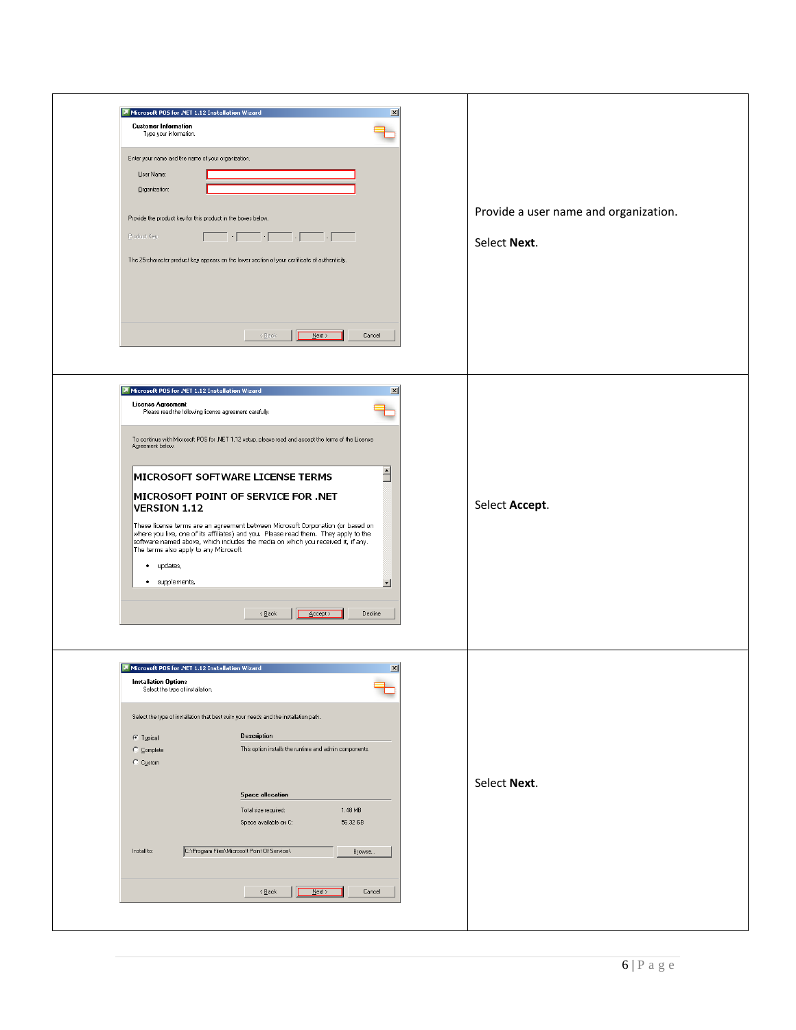| Microsoft POS for .NET 1.12 Installation Wizard<br>x<br><b>Customer Information</b><br>Type your information.<br>Enter your name and the name of your organization.<br>User Name:<br>Organization:<br>Provide the product key for this product in the boxes below.<br>$\begin{picture}(100,100) \put(0,0){\line(1,0){10}} \put(10,0){\line(1,0){10}} \put(10,0){\line(1,0){10}} \put(10,0){\line(1,0){10}} \put(10,0){\line(1,0){10}} \put(10,0){\line(1,0){10}} \put(10,0){\line(1,0){10}} \put(10,0){\line(1,0){10}} \put(10,0){\line(1,0){10}} \put(10,0){\line(1,0){10}} \put(10,0){\line(1,0){10}} \put(10,0){\line$<br>Product Key:<br>The 25-character product key appears on the lower section of your certificate of authenticity.                                                                                        | Provide a user name and organization.<br>Select Next. |
|------------------------------------------------------------------------------------------------------------------------------------------------------------------------------------------------------------------------------------------------------------------------------------------------------------------------------------------------------------------------------------------------------------------------------------------------------------------------------------------------------------------------------------------------------------------------------------------------------------------------------------------------------------------------------------------------------------------------------------------------------------------------------------------------------------------------------------|-------------------------------------------------------|
| $\prec$ Back<br>$M$ ext<br>Cancel<br>Microsoft POS for .NET 1.12 Installation Wizard<br>$\mathbf{x}$<br>License Agreement<br>Please read the following license agreement carefully.<br>To continue with Microsoft POS for .NET 1.12 setup, please read and accept the terms of the License<br>Agreement below.<br>$\triangleq$<br>MICROSOFT SOFTWARE LICENSE TERMS<br>MICROSOFT POINT OF SERVICE FOR .NET<br><b>VERSION 1.12</b><br>These license terms are an agreement between Microsoft Corporation (or based on<br>where you live, one of its affiliates) and you. Please read them. They apply to the<br>software named above, which includes the media on which you received it, if any.<br>The terms also apply to any Microsoft<br>• updates,<br>· supplements,<br>▼<br>$\frac{\text{Accept}}{}$<br>Decline<br>$\leq$ Back | Select Accept.                                        |
| 즤<br>Microsoft POS for .NET 1.12 Installation Wizard<br><b>Installation Options</b><br>Select the type of installation.<br>Select the type of installation that best suits your needs and the installation path.<br><b>Description</b><br>$C$ Typical<br>This option installs the runtime and admin components.<br>C Complete<br>C Custom<br><b>Space allocation</b><br>1.48 MB<br>Total size required:<br>Space available on C:<br>56.32 GB<br>C:\Program Files\Microsoft Point Of Service\<br>Install to:<br>Browse<br>Cancel<br>$\leq$ Back<br>$M$ ext                                                                                                                                                                                                                                                                          | Select Next.                                          |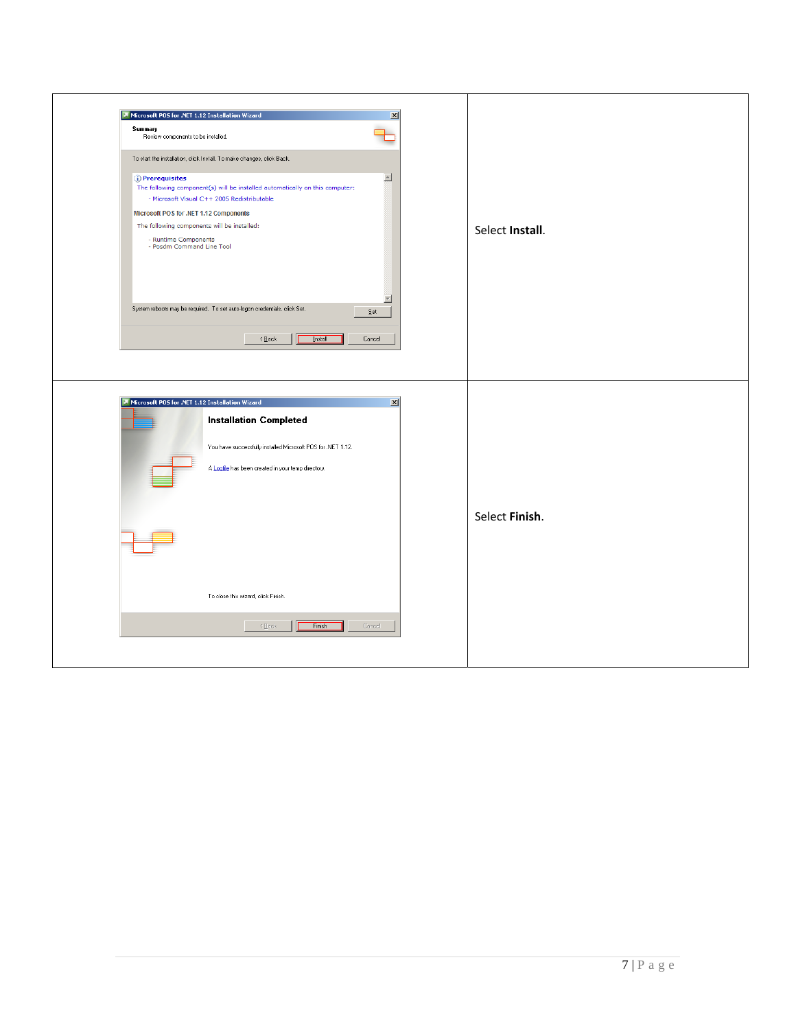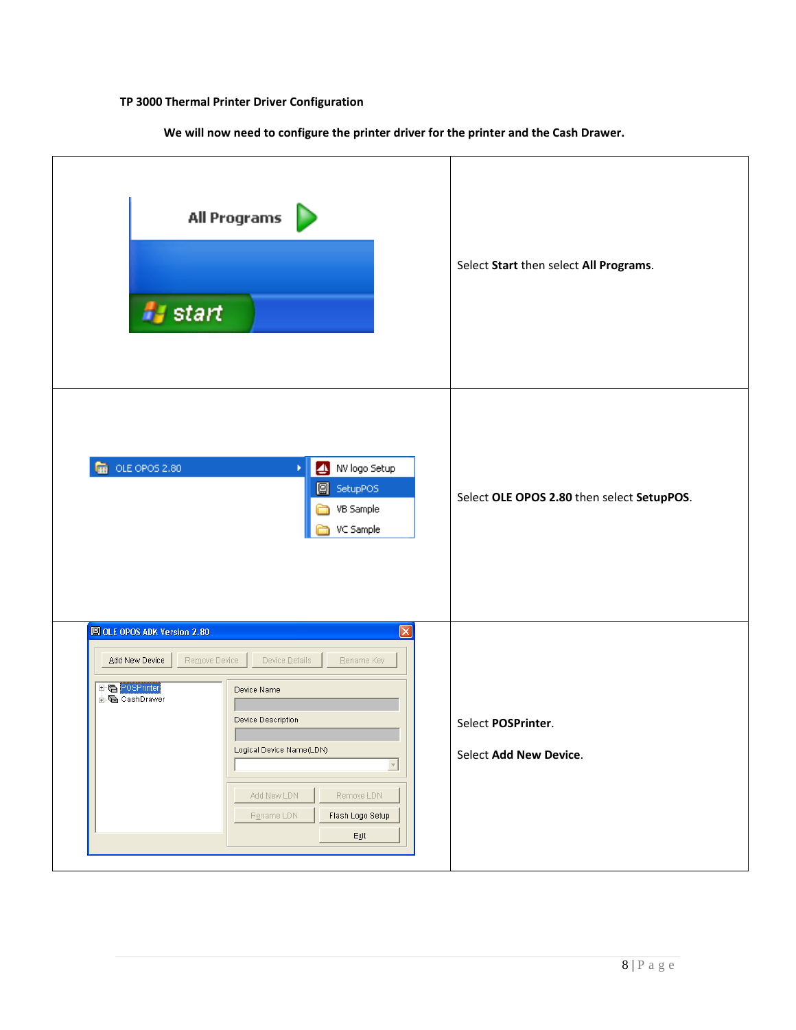# **TP 3000 Thermal Printer Driver Configuration**

**We will now need to configure the printer driver for the printer and the Cash Drawer.** 

| All Programs<br><b>A</b> start                                                                                                                                                                                                                                                                                                                                   | Select Start then select All Programs.       |
|------------------------------------------------------------------------------------------------------------------------------------------------------------------------------------------------------------------------------------------------------------------------------------------------------------------------------------------------------------------|----------------------------------------------|
| <b>DE</b> OLE OPOS 2.80<br>NV logo Setup<br>¥.<br>SetupPOS<br>VB Sample<br>VC Sample                                                                                                                                                                                                                                                                             | Select OLE OPOS 2.80 then select SetupPOS.   |
| OLE OPOS ADK Version 2.80<br>×<br>Device $\mathop{\underline{\mathsf{D}}}$ etails<br>Add New Device<br>Remove Device<br>Rename Key<br>POSPrinter<br>Device Name<br>CashDrawer<br>Device Description<br>Logical Device Name(LDN)<br>$\overline{\phantom{a}}$<br>Add $\underline{\sf N}$ ew LDN<br>Remoye LDN<br>Rgname LDN<br>Flash Logo Setup<br>$\mathsf{Exit}$ | Select POSPrinter.<br>Select Add New Device. |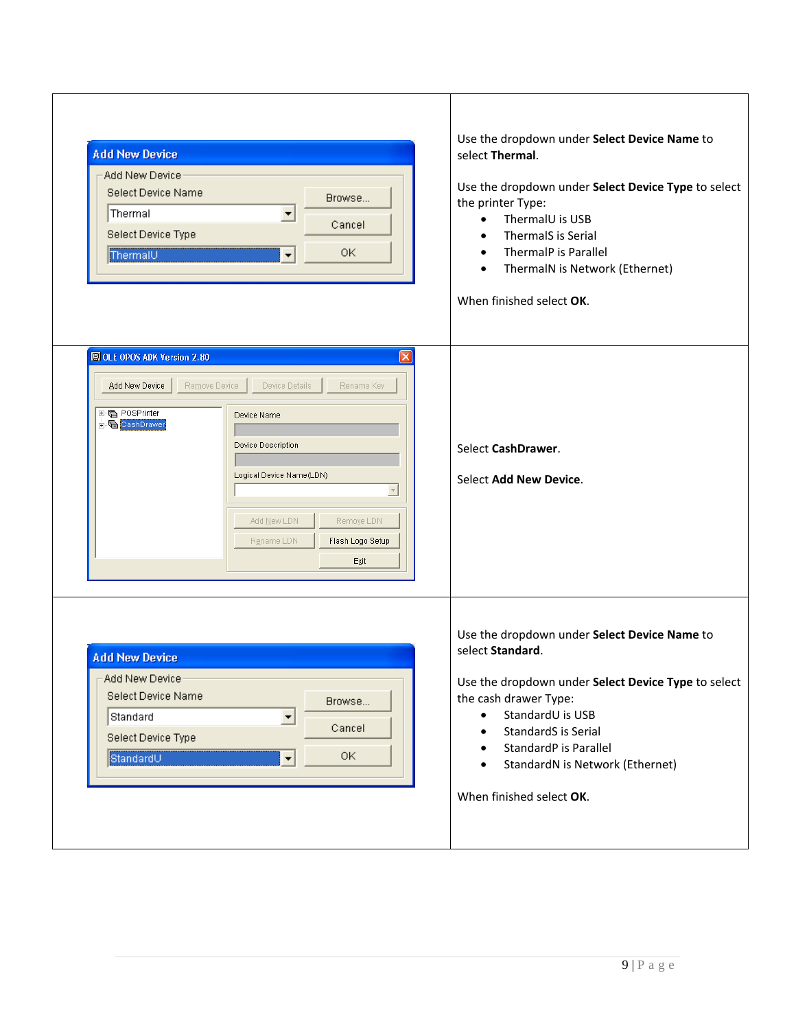| <b>Add New Device</b><br>Add New Device<br>Select Device Name<br>Browse<br>Thermal<br>▼<br>Cancel<br>Select Device Type<br>OK<br>ThermalU<br>÷                                                                                                                              | Use the dropdown under Select Device Name to<br>select Thermal.<br>Use the dropdown under Select Device Type to select<br>the printer Type:<br>ThermalU is USB<br>$\bullet$<br>ThermalS is Serial<br>ThermalP is Parallel<br>$\bullet$<br>ThermalN is Network (Ethernet)<br>When finished select OK.                       |
|-----------------------------------------------------------------------------------------------------------------------------------------------------------------------------------------------------------------------------------------------------------------------------|----------------------------------------------------------------------------------------------------------------------------------------------------------------------------------------------------------------------------------------------------------------------------------------------------------------------------|
| OLE OPOS ADK Version 2.80<br>Add New Device<br>Remove Device<br>Device Details<br>Rename Key<br>田 POSPrinter<br>Device Name<br><b>E</b> CashDrawer<br>Device Description<br>Logical Device Name(LDN)<br>Add New LDN<br>Remoye LDN<br>Flash Logo Setup<br>Rename LDN<br>Exit | Select CashDrawer.<br>Select Add New Device.<br>$\overline{\nabla}$                                                                                                                                                                                                                                                        |
| <b>Add New Device</b><br>Add New Device<br>Select Device Name<br>Browse<br>Standard<br>▼<br>Cancel<br>Select Device Type<br>0K<br>$\blacktriangledown$<br>StandardU                                                                                                         | Use the dropdown under Select Device Name to<br>select Standard.<br>Use the dropdown under Select Device Type to select<br>the cash drawer Type:<br>StandardU is USB<br>$\bullet$<br>StandardS is Serial<br>StandardP is Parallel<br>$\bullet$<br>StandardN is Network (Ethernet)<br>$\bullet$<br>When finished select OK. |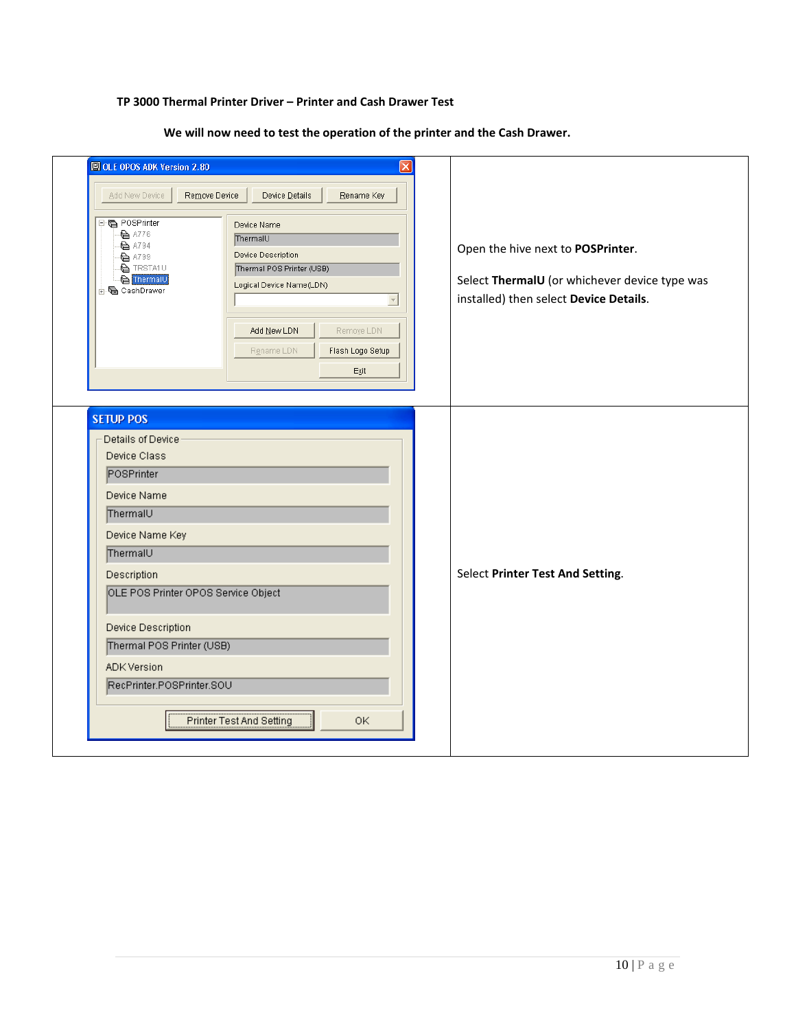## **TP 3000 Thermal Printer Driver – Printer and Cash Drawer Test**

**We will now need to test the operation of the printer and the Cash Drawer.** 

| Add New Device<br>POSPrinter<br>$\bullet$ A776<br>$\overline{}}$ A794<br>A799<br>$\bullet$ TRSTA1U<br>ThermalU<br><b>i</b> CashDrawer                                                                                                                                                     | Remove Device<br>Device Details<br>Rename Key<br>Device Name<br>ThermalU<br>Device Description<br>Thermal POS Printer (USB)<br>Logical Device Name(LDN)<br>$\bar{\psi}$<br>Add New LDN<br>Remove LDN<br>Flash Logo Setup<br>Rename LDN<br>Exit | Open the hive next to POSPrinter.<br>Select ThermalU (or whichever device type was<br>installed) then select Device Details. |
|-------------------------------------------------------------------------------------------------------------------------------------------------------------------------------------------------------------------------------------------------------------------------------------------|------------------------------------------------------------------------------------------------------------------------------------------------------------------------------------------------------------------------------------------------|------------------------------------------------------------------------------------------------------------------------------|
| <b>SETUP POS</b><br>Details of Device<br>Device Class<br>POSPrinter<br>Device Name<br>ThermalU<br>Device Name Key<br>ThermalU<br>Description<br>OLE POS Printer OPOS Service Object<br>Device Description<br>Thermal POS Printer (USB)<br><b>ADK Version</b><br>RecPrinter.POSPrinter.SOU |                                                                                                                                                                                                                                                | Select Printer Test And Setting.                                                                                             |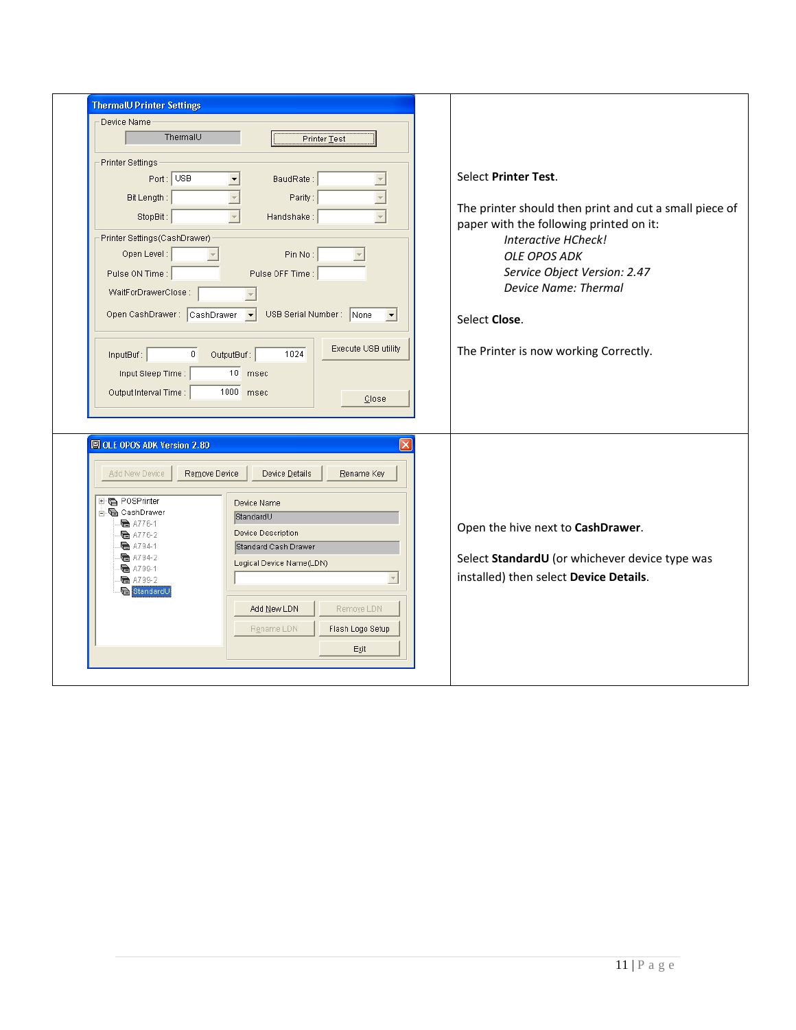| <b>ThermalU Printer Settings</b>                                                                                                                                                                                                                                        |                                                                                                                                                                                                                                                          |                                                                                                                                                                                                                                                                                                  |
|-------------------------------------------------------------------------------------------------------------------------------------------------------------------------------------------------------------------------------------------------------------------------|----------------------------------------------------------------------------------------------------------------------------------------------------------------------------------------------------------------------------------------------------------|--------------------------------------------------------------------------------------------------------------------------------------------------------------------------------------------------------------------------------------------------------------------------------------------------|
| Device Name<br>ThermalU                                                                                                                                                                                                                                                 | Printer Test                                                                                                                                                                                                                                             |                                                                                                                                                                                                                                                                                                  |
| <b>Printer Settings</b><br>Port: USB<br>Bit Length:<br>StopBit:<br>Printer Settings (CashDrawer)<br>Open Level:<br>Pulse ON Time :<br>WaitForDrawerClose:<br>Open CashDrawer: CashDrawer v<br>InputBuf:<br>$\overline{0}$<br>Input Sleep Time:<br>Output Interval Time: | BaudRate:<br>Parity:<br>$\overline{\phantom{a}}$<br>$\overline{\mathbf{v}}$<br>Handshake:<br>Pin No:<br>Pulse OFF Time:<br>USB Serial Number: None<br>$\blacktriangledown$<br>Execute USB utility<br>1024<br>OutputBuf:<br>10 msec<br>1000 msec<br>Close | Select Printer Test.<br>The printer should then print and cut a small piece of<br>paper with the following printed on it:<br>Interactive HCheck!<br><b>OLE OPOS ADK</b><br>Service Object Version: 2.47<br><b>Device Name: Thermal</b><br>Select Close.<br>The Printer is now working Correctly. |
| OLE OPOS ADK Version 2.80<br>Remove Device<br>Add New Device<br>田島 POSPrinter<br>⊟ @ CashDrawer<br>$\bullet$ A776-1<br><b>■ A776-2</b><br><b>e</b> A794-1<br>$\blacksquare$ A794-2<br><b>后</b> A799-1<br>$\blacksquare$ A799-2<br>StandardU                             | Device Details<br>Rename Key<br>Device Name<br>StandardU<br><b>Device Description</b><br>Standard Cash Drawer<br>Logical Device Name(LDN)<br>$\overline{\phantom{a}}$<br>Add New LDN<br>Remoye LDN<br>Rename LDN<br>Flash Logo Setup<br>Exit             | Open the hive next to CashDrawer.<br>Select StandardU (or whichever device type was<br>installed) then select Device Details.                                                                                                                                                                    |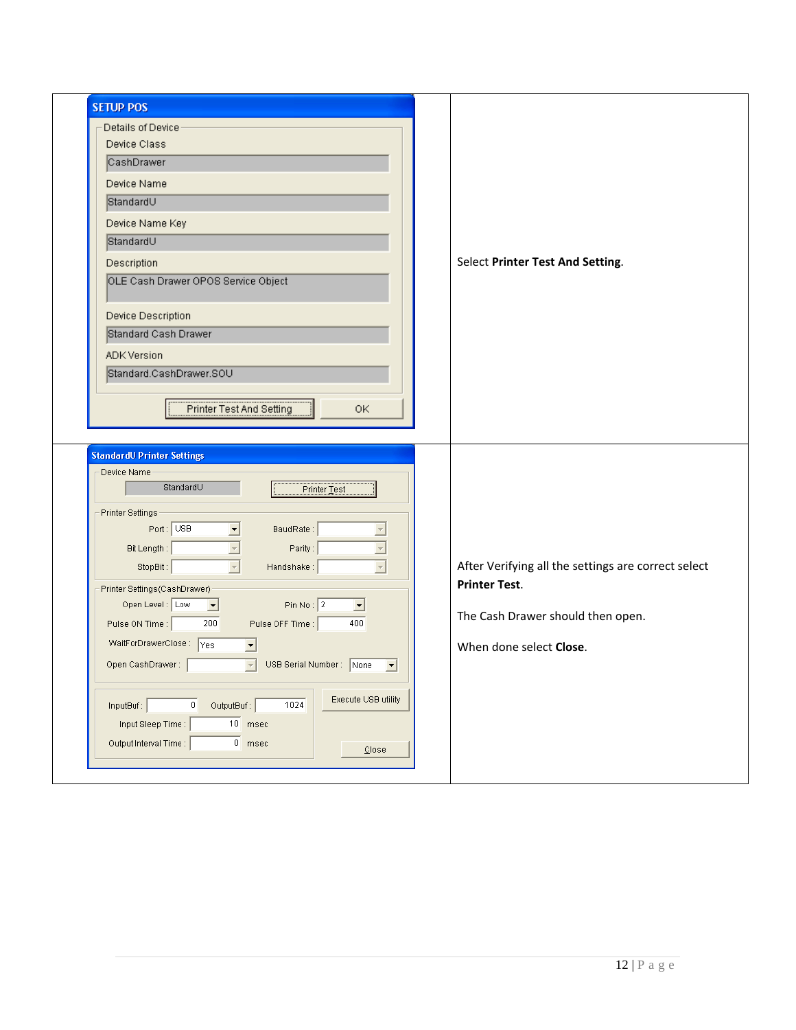| <b>SETUP POS</b>                                                                                 |                                                     |
|--------------------------------------------------------------------------------------------------|-----------------------------------------------------|
| Details of Device                                                                                |                                                     |
| Device Class                                                                                     |                                                     |
| CashDrawer                                                                                       |                                                     |
| Device Name                                                                                      |                                                     |
| StandardU                                                                                        |                                                     |
| Device Name Key                                                                                  |                                                     |
| StandardU                                                                                        |                                                     |
| Description                                                                                      | Select Printer Test And Setting.                    |
| OLE Cash Drawer OPOS Service Object                                                              |                                                     |
| Device Description                                                                               |                                                     |
| Standard Cash Drawer                                                                             |                                                     |
| ADK Version                                                                                      |                                                     |
| Standard.CashDrawer.SOU                                                                          |                                                     |
| Printer Test And Setting<br>0K                                                                   |                                                     |
|                                                                                                  |                                                     |
| <b>StandardU Printer Settings</b>                                                                |                                                     |
| Device Name<br>StandardU<br>Printer Test                                                         |                                                     |
| Printer Settings                                                                                 |                                                     |
| Port: USB<br>$\vert \cdot \vert$<br>BaudRate:<br>$\overline{\phantom{a}}$                        |                                                     |
| $\overline{z}$<br>Bit Length:<br>Parity:                                                         |                                                     |
| $\overline{\phantom{a}}$<br>StopBit:<br>Handshake:<br>$\overline{\mathbf{v}}$                    | After Verifying all the settings are correct select |
| Printer Settings(CashDrawer)                                                                     | <b>Printer Test.</b>                                |
| Pin No: $\boxed{2}$<br>Open Level: Low<br>$\overline{\phantom{a}}$<br>⊡                          |                                                     |
| Pulse ON Time:<br>200<br>Pulse OFF Time:<br>400                                                  | The Cash Drawer should then open.                   |
| WaitForDrawerClose: Yes                                                                          | When done select Close.                             |
| USB Serial Number: None<br>Open CashDrawer :<br>$\overline{\phantom{a}}$<br>$\blacktriangledown$ |                                                     |
| Execute USB utility<br>OutputBuf:<br>1024<br>InputBut<br>$\overline{0}$                          |                                                     |
| $10$ msec<br>Input Sleep Time:                                                                   |                                                     |
| Output Interval Time :<br>$0$ msec<br>$\underline{\mathbb{C}}$ lose                              |                                                     |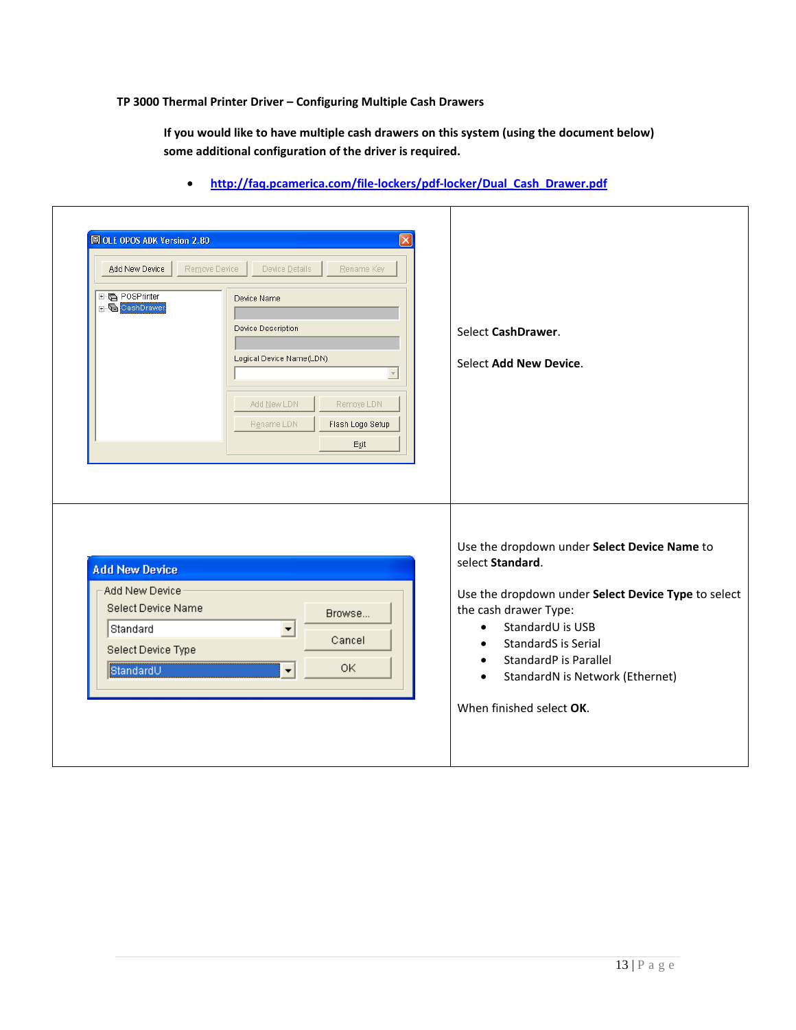#### **TP 3000 Thermal Printer Driver – Configuring Multiple Cash Drawers**

**If you would like to have multiple cash drawers on this system (using the document below) some additional configuration of the driver is required.** 

| POSPrinter<br>CashDrawer                                                                        | Device Name<br>Device Description<br>Logical Device Name(LDN)       | Select CashDrawer.<br>Select Add New Device.                                                                                                                                                                          |
|-------------------------------------------------------------------------------------------------|---------------------------------------------------------------------|-----------------------------------------------------------------------------------------------------------------------------------------------------------------------------------------------------------------------|
|                                                                                                 | Add New LDN<br>Remove LDN<br>Flash Logo Setup<br>Rename LDN<br>Exit |                                                                                                                                                                                                                       |
|                                                                                                 |                                                                     |                                                                                                                                                                                                                       |
| <b>Add New Device</b><br>Add New Device<br>Select Device Name<br>Standard<br>Select Device Type | Browse<br>$\overline{\phantom{a}}$<br>Cancel                        | Use the dropdown under Select Device Name to<br>select Standard.<br>Use the dropdown under Select Device Type to select<br>the cash drawer Type:<br>StandardU is USB<br>$\bullet$<br>StandardS is Serial<br>$\bullet$ |

• **http://faq.pcamerica.com/file-lockers/pdf-locker/Dual\_Cash\_Drawer.pdf**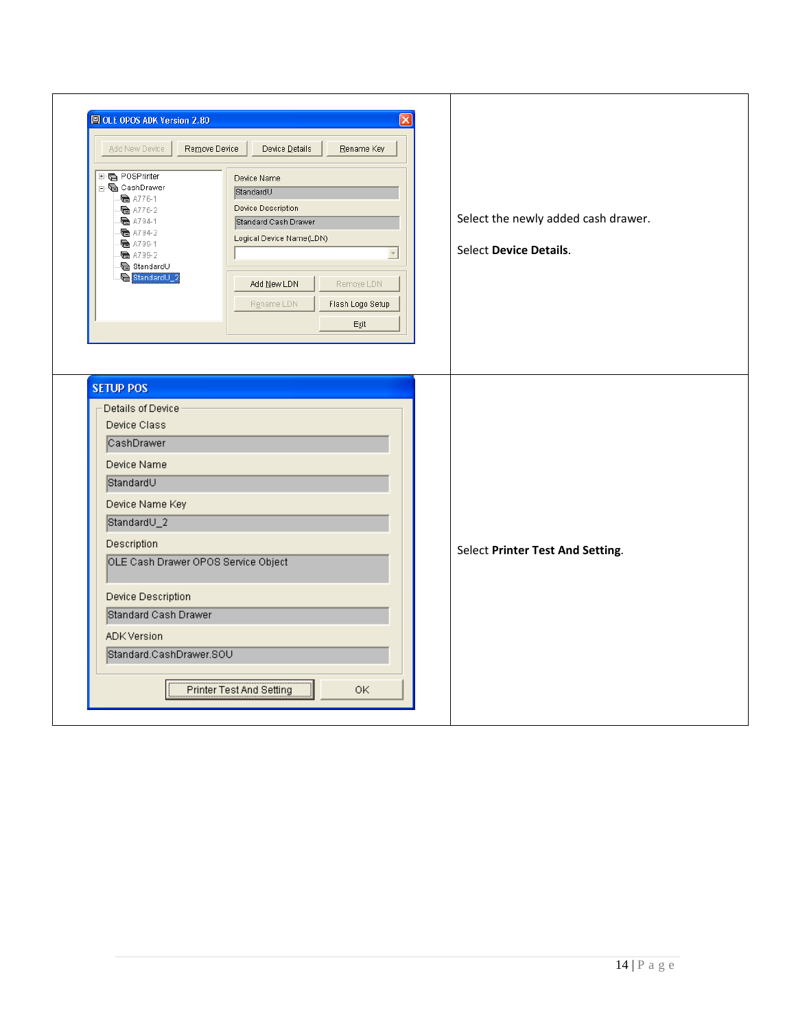| OLE OPOS ADK Version 2.80<br>Add New Device<br>Remove Device<br>田 POSPrinter<br><b>⊟-</b> CashDrawer<br>$\bullet$ A776-1<br>De A776-2<br>Da A794-1<br>e A794-2<br>e A799-1<br>Dec A799-2<br><b>B</b> Standard∪<br>StandardU_2                                                          | Device Details<br>Rename Key<br>Device Name<br>StandardU<br>Device Description<br>Standard Cash Drawer<br>Logical Device Name(LDN)<br>$\overline{\phantom{a}}$<br>Add $New LDN$<br>Remoye LDN<br>Flash Logo Setup<br>Rename LDN<br>Exit | Select the newly added cash drawer.<br><b>Select Device Details.</b> |
|----------------------------------------------------------------------------------------------------------------------------------------------------------------------------------------------------------------------------------------------------------------------------------------|-----------------------------------------------------------------------------------------------------------------------------------------------------------------------------------------------------------------------------------------|----------------------------------------------------------------------|
| <b>SETUP POS</b><br>Details of Device<br>Device Class<br>CashDrawer<br>Device Name<br>StandardU<br>Device Name Key<br>StandardU_2<br>Description<br>OLE Cash Drawer OPOS Service Object<br>Device Description<br>Standard Cash Drawer<br><b>ADK Version</b><br>Standard.CashDrawer.SOU | Printer Test And Setting<br>OK                                                                                                                                                                                                          | Select Printer Test And Setting.                                     |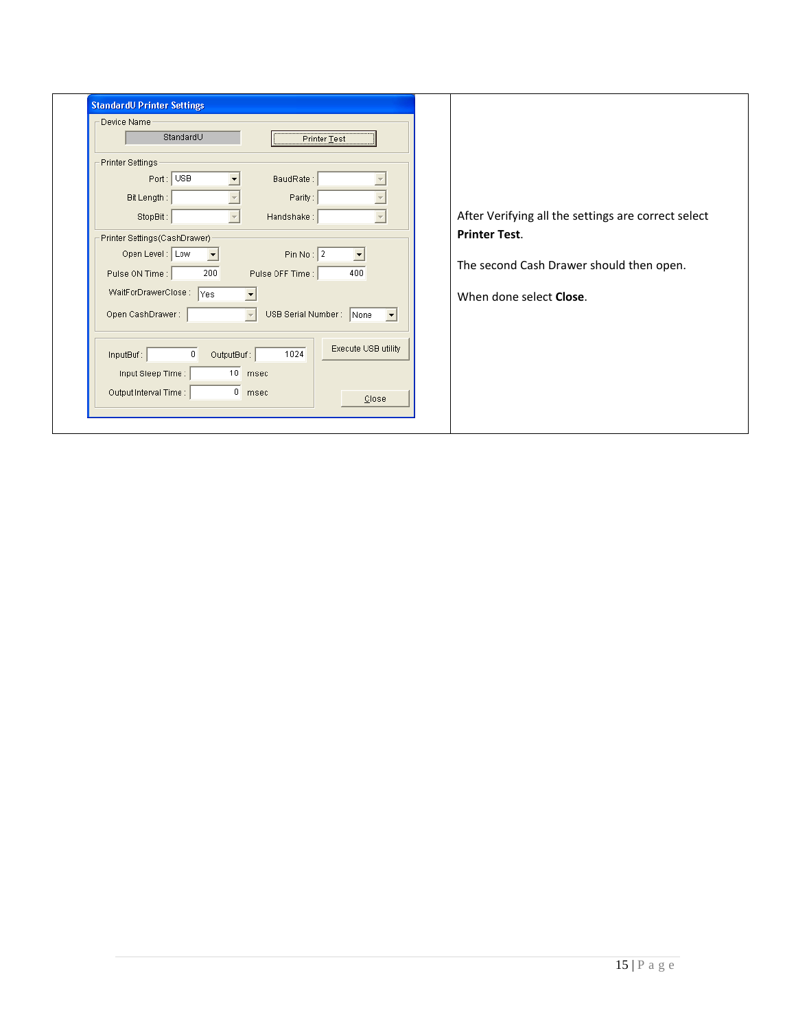| Device Name<br>StandardU<br>Printer Test                             |                                                     |
|----------------------------------------------------------------------|-----------------------------------------------------|
| Printer Settings<br>Port: USB<br>BaudRate:<br>Parity:<br>Bit Length: |                                                     |
| Handshake:<br>StopBit:                                               | After Verifying all the settings are correct select |
| Printer Settings (CashDrawer)                                        | <b>Printer Test.</b>                                |
| Open Level: Low<br>Pin No: $2$<br>▼                                  |                                                     |
| 200<br>400<br>Pulse OFF Time:<br>Pulse ON Time :                     | The second Cash Drawer should then open.            |
| WaitForDrawerClose: Yes                                              | When done select <b>Close</b> .                     |
| USB Serial Number: None<br>Open CashDrawer:<br>$\blacktriangledown$  |                                                     |
|                                                                      |                                                     |
| Execute USB utility<br>$\theta$<br>1024<br>OutputBuf:<br>InputBuf:   |                                                     |
| 10 msec<br>Input Sleep Time :                                        |                                                     |
| $0$ msec<br>Output Interval Time :<br>Close                          |                                                     |
|                                                                      |                                                     |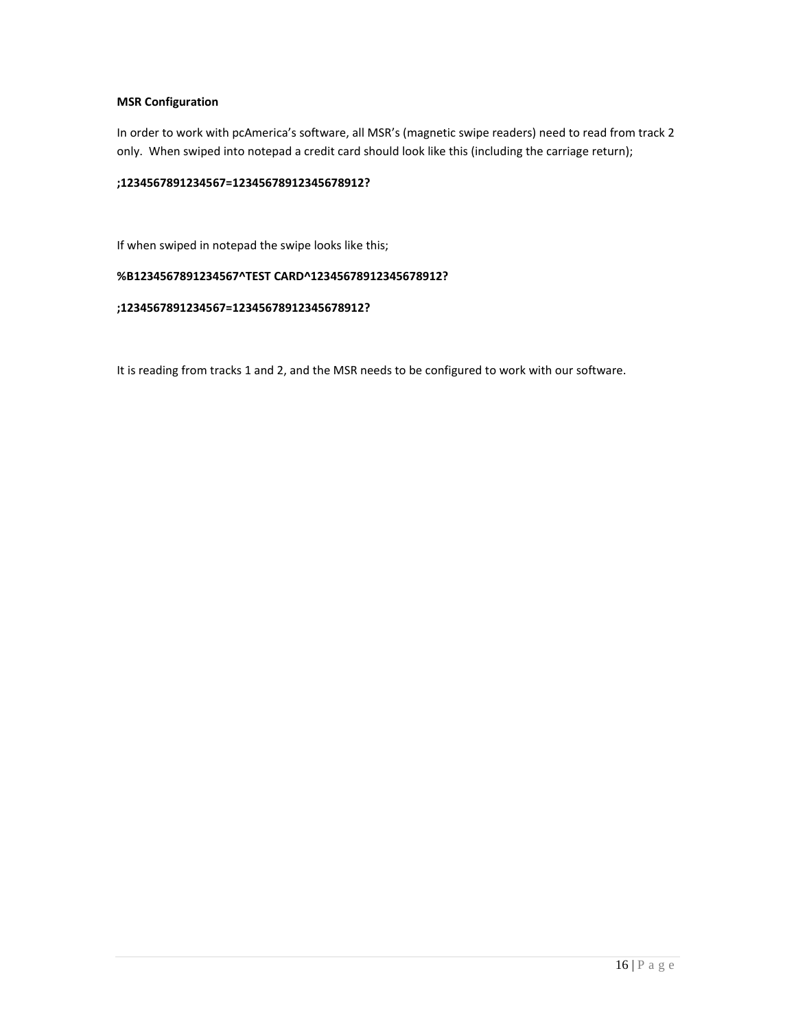### **MSR Configuration**

In order to work with pcAmerica's software, all MSR's (magnetic swipe readers) need to read from track 2 only. When swiped into notepad a credit card should look like this (including the carriage return);

#### **;1234567891234567=12345678912345678912?**

If when swiped in notepad the swipe looks like this;

## **%B1234567891234567^TEST CARD^12345678912345678912?**

#### **;1234567891234567=12345678912345678912?**

It is reading from tracks 1 and 2, and the MSR needs to be configured to work with our software.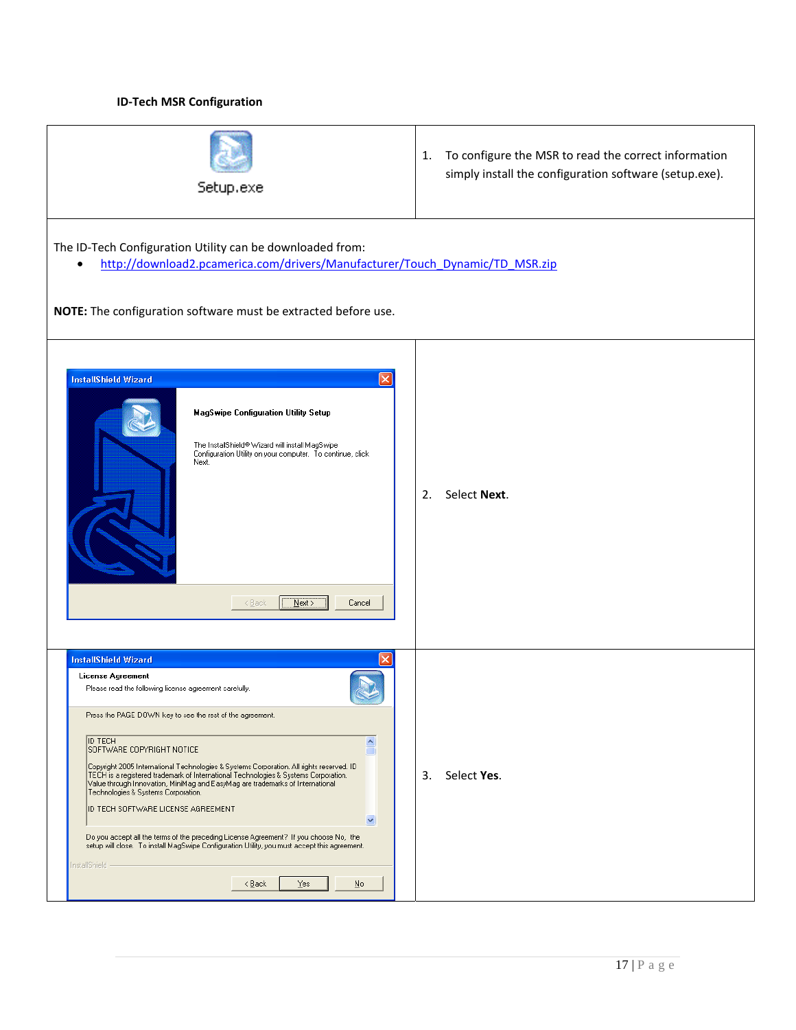#### **ID-Tech MSR Configuration**

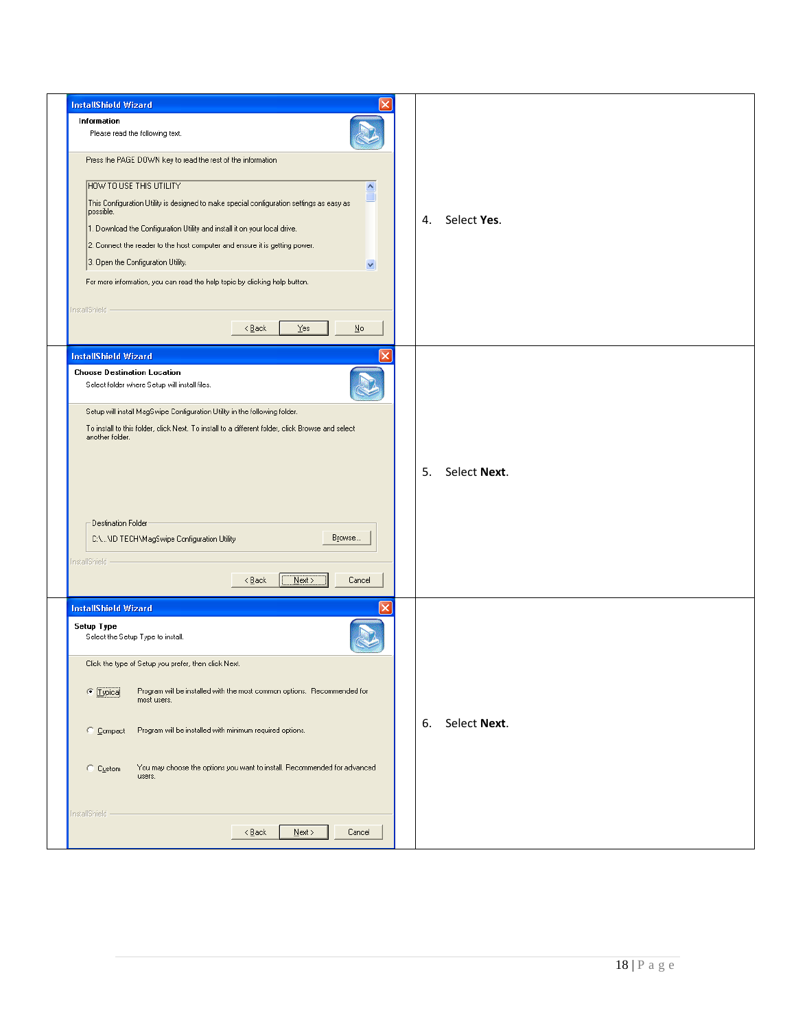| <b>InstallShield Wizard</b>                                                                                         |                    |
|---------------------------------------------------------------------------------------------------------------------|--------------------|
| Information                                                                                                         |                    |
| Please read the following text.                                                                                     |                    |
| Press the PAGE DOWN key to read the rest of the information                                                         |                    |
| HOW TO USE THIS UTILITY<br>$\boldsymbol{\wedge}$                                                                    |                    |
| u<br>This Configuration Utility is designed to make special configuration settings as easy as<br>possible.          |                    |
| 1. Download the Configuration Utility and install it on your local drive.                                           | Select Yes.<br>4.  |
| 2. Connect the reader to the host computer and ensure it is getting power.                                          |                    |
| 3. Open the Configuration Utility.<br>M                                                                             |                    |
| For more information, you can read the help topic by clicking help button.                                          |                    |
| InstallShield -<br>Yes<br>$\leq$ $\underline{B}$ ack<br>No                                                          |                    |
| <b>InstallShield Wizard</b>                                                                                         |                    |
| <b>Choose Destination Location</b>                                                                                  |                    |
| Select folder where Setup will install files.                                                                       |                    |
| Setup will install MagSwipe Configuration Utility in the following folder.                                          |                    |
| To install to this folder, click Next. To install to a different folder, click Browse and select<br>another folder. |                    |
|                                                                                                                     |                    |
|                                                                                                                     | Select Next.<br>5. |
|                                                                                                                     |                    |
|                                                                                                                     |                    |
| <b>Destination Folder</b>                                                                                           |                    |
| Browse<br>C:\\ID TECH\MagSwipe Configuration Utility                                                                |                    |
| InstallShield -                                                                                                     |                    |
| Next<br>$\leq$ Back<br>Cancel                                                                                       |                    |
| <b>InstallShield Wizard</b>                                                                                         |                    |
| Setup Type<br>Select the Setup Type to install.                                                                     |                    |
| Click the type of Setup you prefer, then click Next.                                                                |                    |
| Program will be installed with the most common options. Recommended for<br>C [Lypical]<br>most users.               |                    |
| C Compact<br>Program will be installed with minimum required options.                                               | Select Next.<br>6. |
|                                                                                                                     |                    |
| You may choose the options you want to install. Recommended for advanced<br>C Custom<br>users.                      |                    |
|                                                                                                                     |                    |
| InstallShield -<br>$N$ ext ><br>Cancel<br>$\leq$ Back                                                               |                    |
|                                                                                                                     |                    |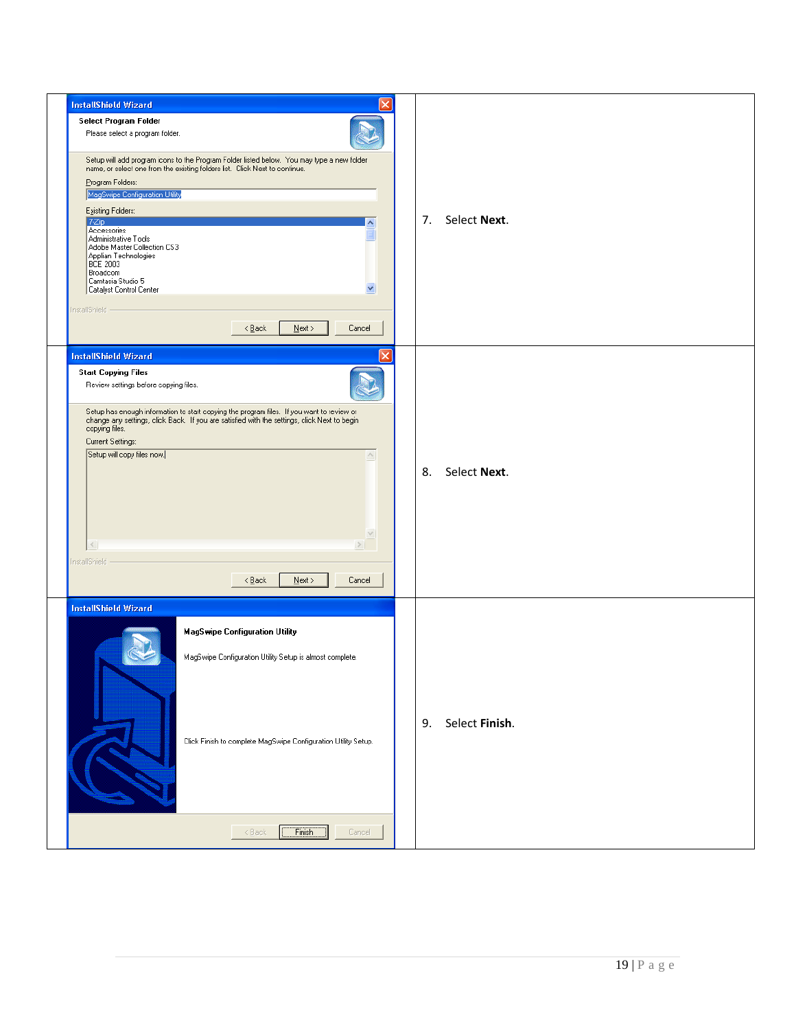| <b>InstallShield Wizard</b>                                                                                                                                                               |                      |
|-------------------------------------------------------------------------------------------------------------------------------------------------------------------------------------------|----------------------|
| Select Program Folder                                                                                                                                                                     |                      |
| Please select a program folder.                                                                                                                                                           |                      |
| Setup will add program icons to the Program Folder listed below. You may type a new folder<br>name, or select one from the existing folders list. Click Next to continue.                 |                      |
|                                                                                                                                                                                           |                      |
| Program Folders:<br>MagSwipe Configuration Utility                                                                                                                                        |                      |
|                                                                                                                                                                                           |                      |
| Existing Folders:<br>7Zip                                                                                                                                                                 | 7. Select Next.      |
| Accessories                                                                                                                                                                               |                      |
| Administrative Tools<br>Adobe Master Collection CS3                                                                                                                                       |                      |
| Applian Technologies<br> BCE 2003                                                                                                                                                         |                      |
| Broadcom                                                                                                                                                                                  |                      |
| Camtasia Studio 5<br>Catalyst Control Center<br>v                                                                                                                                         |                      |
|                                                                                                                                                                                           |                      |
| InstallShield -                                                                                                                                                                           |                      |
| $N$ ext ><br>$\leq$ $\underline{B}$ ack<br>Cancel                                                                                                                                         |                      |
| <b>InstallShield Wizard</b>                                                                                                                                                               |                      |
| <b>Start Copying Files</b>                                                                                                                                                                |                      |
| Review settings before copying files.                                                                                                                                                     |                      |
|                                                                                                                                                                                           |                      |
| Setup has enough information to start copying the program files. If you want to review or<br>change any settings, click Back. If you are satisfied with the settings, click Next to begin |                      |
| copying files.                                                                                                                                                                            |                      |
| Current Settings:                                                                                                                                                                         |                      |
| Setup will copy files now.<br>$\curvearrowright$                                                                                                                                          |                      |
|                                                                                                                                                                                           | Select Next.<br>8.   |
|                                                                                                                                                                                           |                      |
|                                                                                                                                                                                           |                      |
|                                                                                                                                                                                           |                      |
| $\vee$                                                                                                                                                                                    |                      |
| $\leq$<br>>                                                                                                                                                                               |                      |
| InstallShield                                                                                                                                                                             |                      |
| $N$ ext ><br>$\leq$ Back<br>Cancel                                                                                                                                                        |                      |
|                                                                                                                                                                                           |                      |
| <b>InstallShield Wizard</b>                                                                                                                                                               |                      |
| <b>MagSwipe Configuration Utility</b>                                                                                                                                                     |                      |
|                                                                                                                                                                                           |                      |
| MagSwipe Configuration Utility Setup is almost complete.                                                                                                                                  |                      |
|                                                                                                                                                                                           |                      |
|                                                                                                                                                                                           |                      |
|                                                                                                                                                                                           |                      |
|                                                                                                                                                                                           | Select Finish.<br>9. |
|                                                                                                                                                                                           |                      |
| Click Finish to complete MagSwipe Configuration Utility Setup.                                                                                                                            |                      |
|                                                                                                                                                                                           |                      |
|                                                                                                                                                                                           |                      |
|                                                                                                                                                                                           |                      |
|                                                                                                                                                                                           |                      |
|                                                                                                                                                                                           |                      |
| Finish<br>$\leq$ Back<br>Cancel                                                                                                                                                           |                      |
|                                                                                                                                                                                           |                      |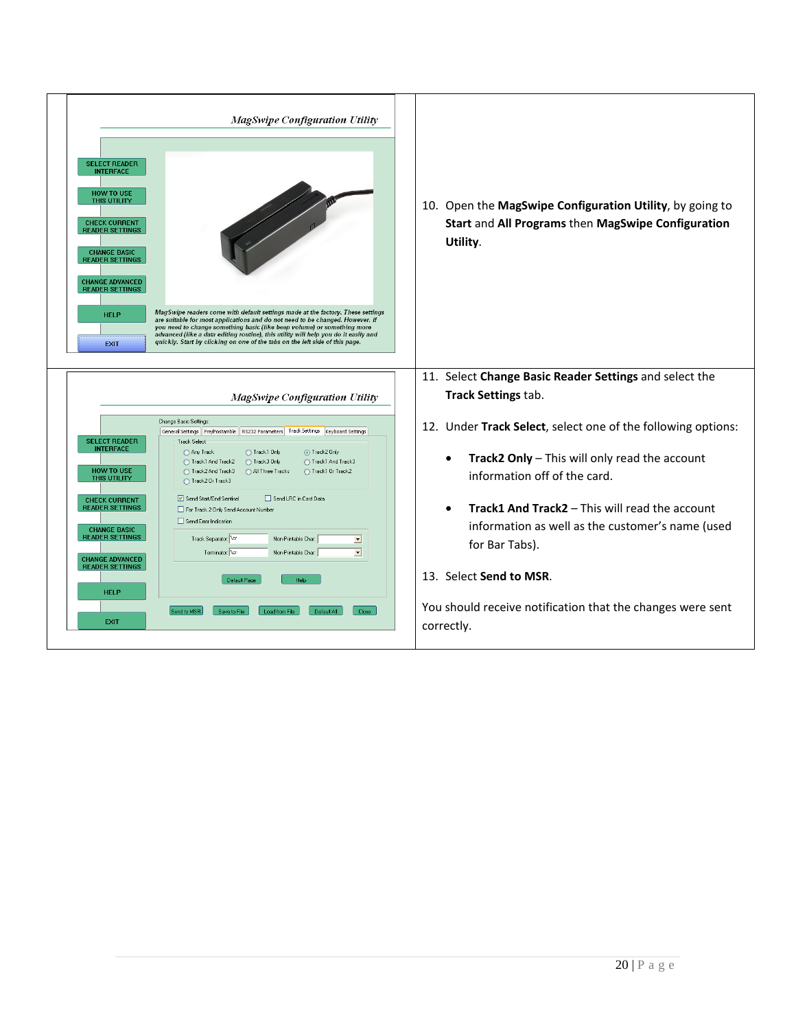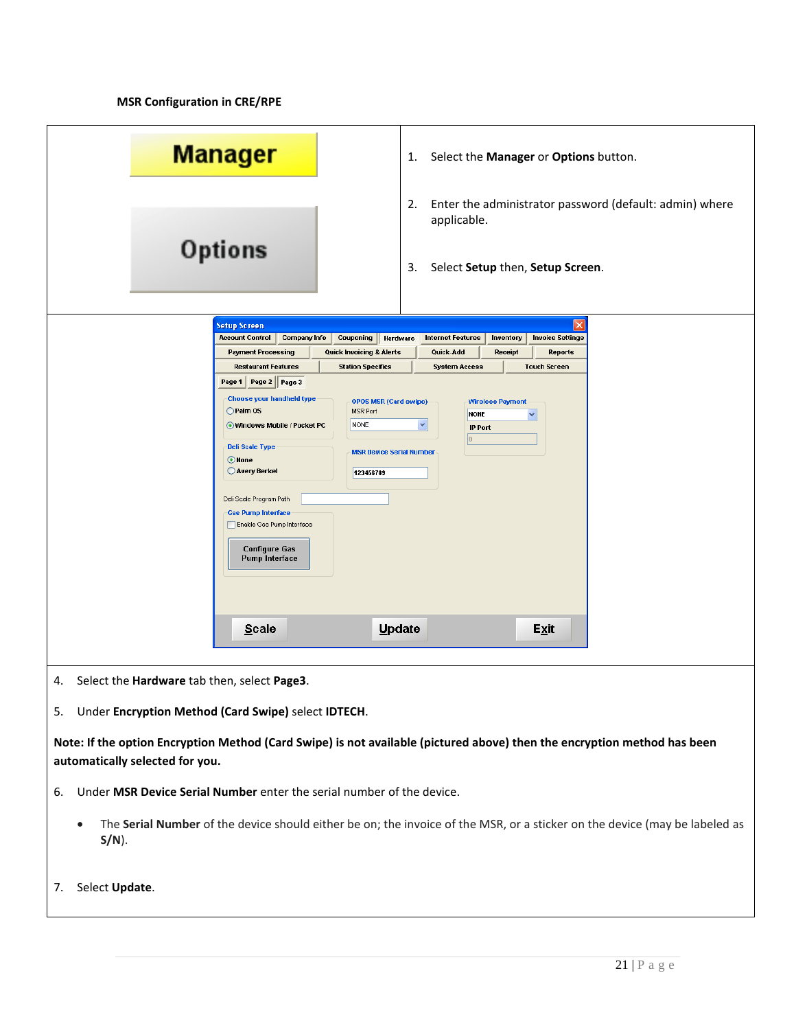**MSR Configuration in CRE/RPE** 

| <b>Manager</b>                                                                                                                                      | Select the Manager or Options button.<br>1.                                                                     |  |
|-----------------------------------------------------------------------------------------------------------------------------------------------------|-----------------------------------------------------------------------------------------------------------------|--|
|                                                                                                                                                     | Enter the administrator password (default: admin) where<br>2.<br>applicable.                                    |  |
| Options                                                                                                                                             | Select Setup then, Setup Screen.<br>3.                                                                          |  |
| <b>Setup Screen</b>                                                                                                                                 |                                                                                                                 |  |
| <b>Account Control</b><br><b>Company Info</b><br>Couponing<br><b>Payment Processing</b><br>Quick Invoicing & Alerts                                 | Hardware<br><b>Internet Features</b><br>Inventory<br><b>Invoice Settings</b><br>Quick-Add<br>Receipt<br>Reports |  |
| <b>Restaurant Features</b><br><b>Station Specifics</b>                                                                                              | <b>System Access</b><br><b>Touch Screen</b>                                                                     |  |
| Page 2 Page 3<br>Page 1 $ $                                                                                                                         |                                                                                                                 |  |
| <b>Choose your handheld type</b><br><b>OPOS MSR (Card swipe)</b><br>◯ Palm 0S<br>MSR Port                                                           | <b>Wireless Payment</b><br><b>NONE</b><br>v                                                                     |  |
| <b>NONE</b><br>Windows Mobile / Pocket PC                                                                                                           | ×<br><b>IP Port</b>                                                                                             |  |
| <b>Deli Scale Type</b><br><b>MSR Device Serial Number</b>                                                                                           |                                                                                                                 |  |
| O None<br>Avery Berkel<br>123456789                                                                                                                 |                                                                                                                 |  |
|                                                                                                                                                     |                                                                                                                 |  |
| Deli Scale Program Path<br><b>Gas Pump Interface</b>                                                                                                |                                                                                                                 |  |
| Enable Gas Pump Interface                                                                                                                           |                                                                                                                 |  |
| <b>Configure Gas</b><br><b>Pump Interface</b>                                                                                                       |                                                                                                                 |  |
|                                                                                                                                                     |                                                                                                                 |  |
|                                                                                                                                                     |                                                                                                                 |  |
|                                                                                                                                                     |                                                                                                                 |  |
| <b>Scale</b>                                                                                                                                        | Update<br>Exit                                                                                                  |  |
|                                                                                                                                                     |                                                                                                                 |  |
| Select the Hardware tab then, select Page3.<br>4.                                                                                                   |                                                                                                                 |  |
| Under Encryption Method (Card Swipe) select IDTECH.<br>5.                                                                                           |                                                                                                                 |  |
| Note: If the option Encryption Method (Card Swipe) is not available (pictured above) then the encryption method has been                            |                                                                                                                 |  |
| automatically selected for you.                                                                                                                     |                                                                                                                 |  |
| Under MSR Device Serial Number enter the serial number of the device.<br>6.                                                                         |                                                                                                                 |  |
| The Serial Number of the device should either be on; the invoice of the MSR, or a sticker on the device (may be labeled as<br>$\bullet$<br>$S/N$ ). |                                                                                                                 |  |
| Select Update.<br>7.                                                                                                                                |                                                                                                                 |  |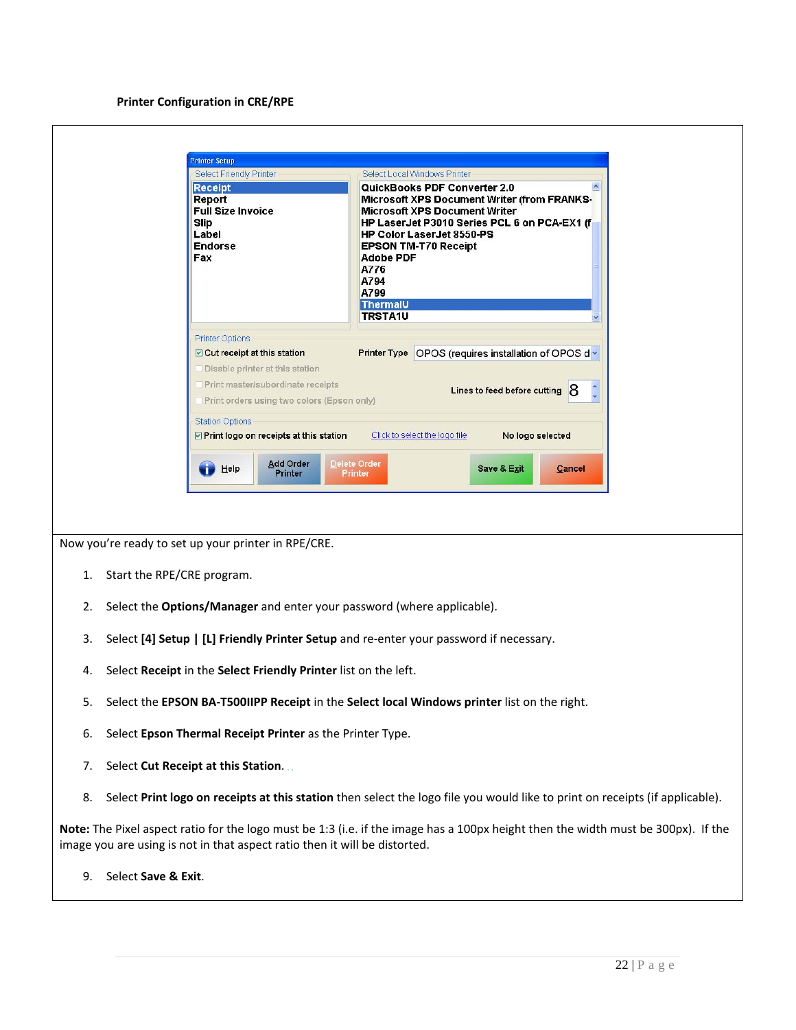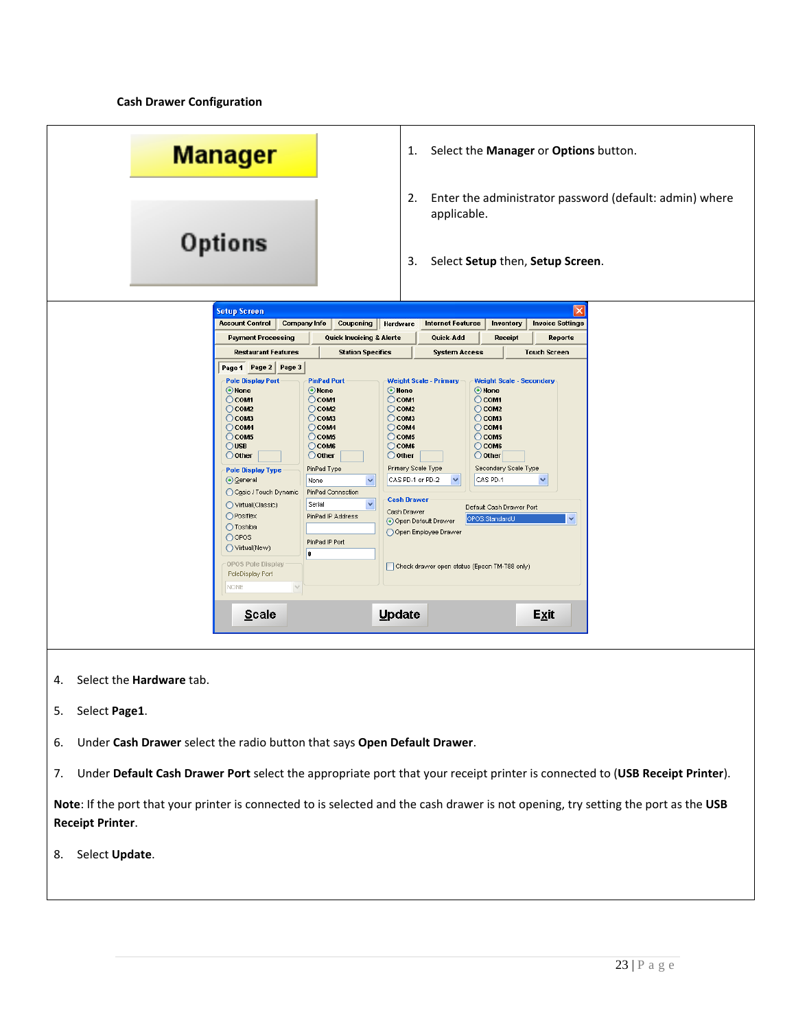**Cash Drawer Configuration**